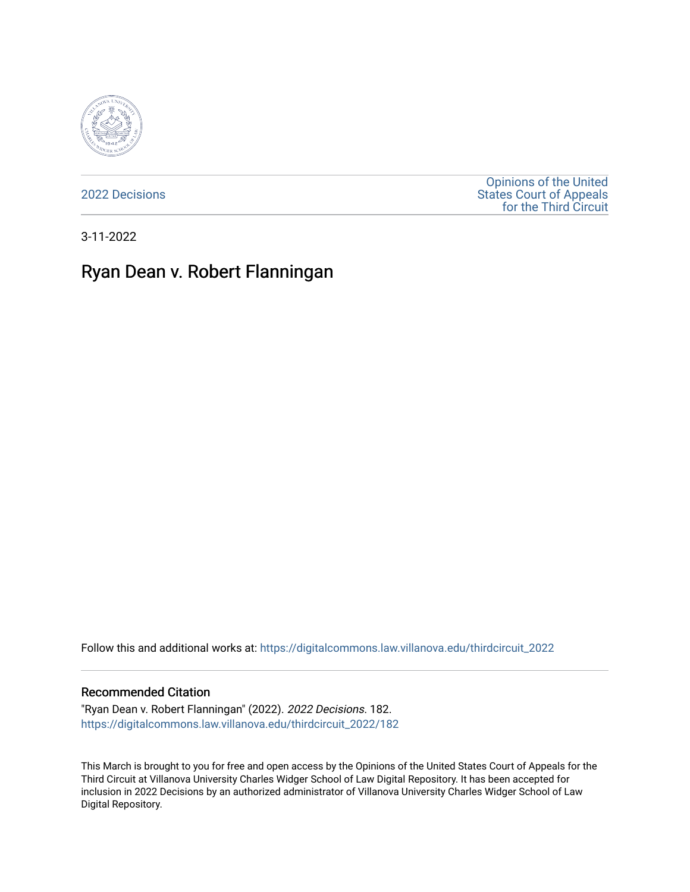

[2022 Decisions](https://digitalcommons.law.villanova.edu/thirdcircuit_2022)

[Opinions of the United](https://digitalcommons.law.villanova.edu/thirdcircuit)  [States Court of Appeals](https://digitalcommons.law.villanova.edu/thirdcircuit)  [for the Third Circuit](https://digitalcommons.law.villanova.edu/thirdcircuit) 

3-11-2022

# Ryan Dean v. Robert Flanningan

Follow this and additional works at: [https://digitalcommons.law.villanova.edu/thirdcircuit\\_2022](https://digitalcommons.law.villanova.edu/thirdcircuit_2022?utm_source=digitalcommons.law.villanova.edu%2Fthirdcircuit_2022%2F182&utm_medium=PDF&utm_campaign=PDFCoverPages) 

#### Recommended Citation

"Ryan Dean v. Robert Flanningan" (2022). 2022 Decisions. 182. [https://digitalcommons.law.villanova.edu/thirdcircuit\\_2022/182](https://digitalcommons.law.villanova.edu/thirdcircuit_2022/182?utm_source=digitalcommons.law.villanova.edu%2Fthirdcircuit_2022%2F182&utm_medium=PDF&utm_campaign=PDFCoverPages)

This March is brought to you for free and open access by the Opinions of the United States Court of Appeals for the Third Circuit at Villanova University Charles Widger School of Law Digital Repository. It has been accepted for inclusion in 2022 Decisions by an authorized administrator of Villanova University Charles Widger School of Law Digital Repository.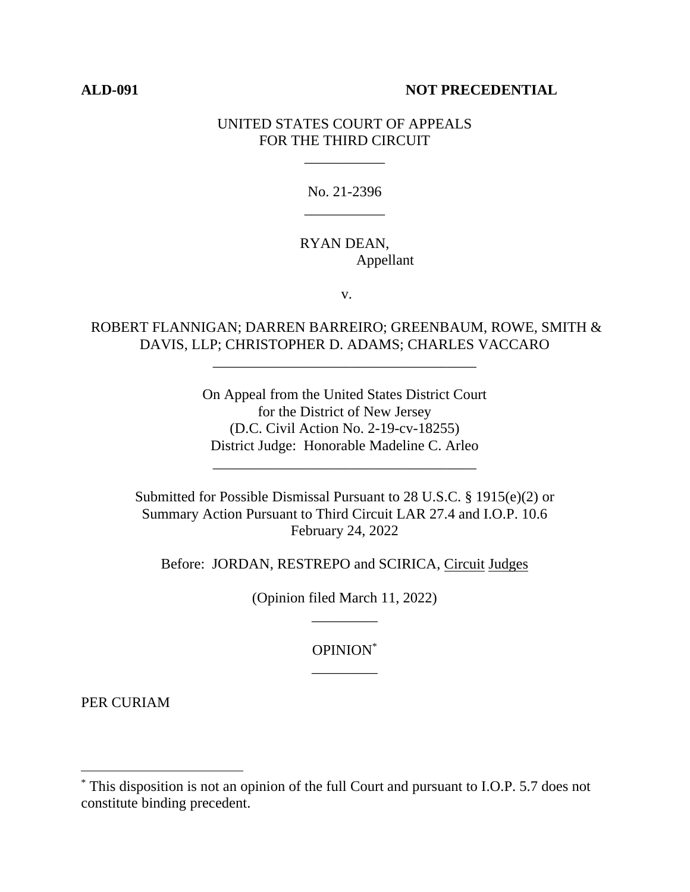#### **ALD-091 NOT PRECEDENTIAL**

#### UNITED STATES COURT OF APPEALS FOR THE THIRD CIRCUIT

\_\_\_\_\_\_\_\_\_\_\_

No. 21-2396 \_\_\_\_\_\_\_\_\_\_\_

## RYAN DEAN, Appellant

v.

## ROBERT FLANNIGAN; DARREN BARREIRO; GREENBAUM, ROWE, SMITH & DAVIS, LLP; CHRISTOPHER D. ADAMS; CHARLES VACCARO

\_\_\_\_\_\_\_\_\_\_\_\_\_\_\_\_\_\_\_\_\_\_\_\_\_\_\_\_\_\_\_\_\_\_\_\_

On Appeal from the United States District Court for the District of New Jersey (D.C. Civil Action No. 2-19-cv-18255) District Judge: Honorable Madeline C. Arleo

\_\_\_\_\_\_\_\_\_\_\_\_\_\_\_\_\_\_\_\_\_\_\_\_\_\_\_\_\_\_\_\_\_\_\_\_

Submitted for Possible Dismissal Pursuant to 28 U.S.C. § 1915(e)(2) or Summary Action Pursuant to Third Circuit LAR 27.4 and I.O.P. 10.6 February 24, 2022

Before: JORDAN, RESTREPO and SCIRICA, Circuit Judges

(Opinion filed March 11, 2022) \_\_\_\_\_\_\_\_\_

> OPINION\* \_\_\_\_\_\_\_\_\_

PER CURIAM

<sup>\*</sup> This disposition is not an opinion of the full Court and pursuant to I.O.P. 5.7 does not constitute binding precedent.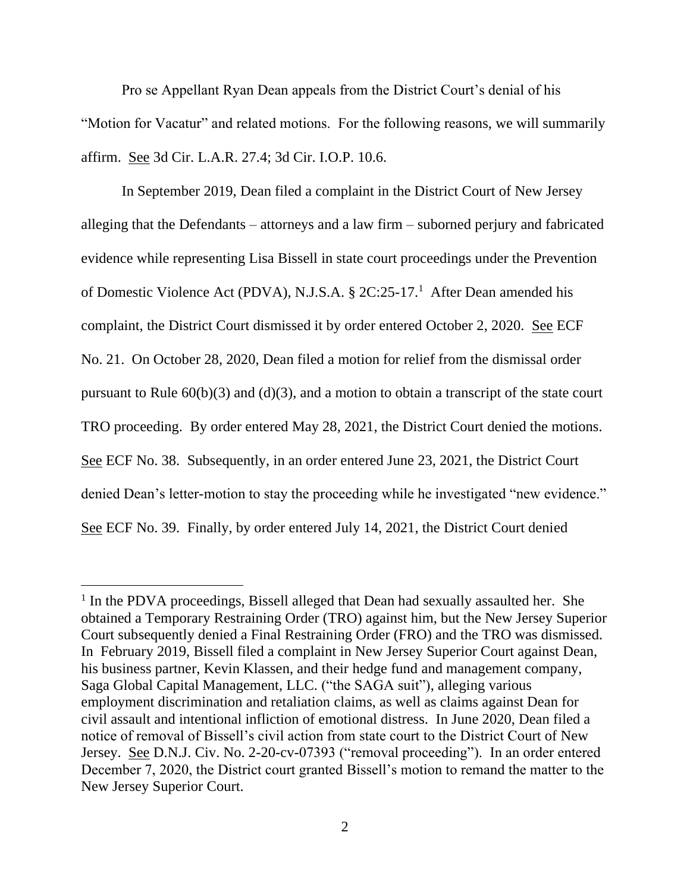Pro se Appellant Ryan Dean appeals from the District Court's denial of his "Motion for Vacatur" and related motions. For the following reasons, we will summarily affirm. See 3d Cir. L.A.R. 27.4; 3d Cir. I.O.P. 10.6.

In September 2019, Dean filed a complaint in the District Court of New Jersey alleging that the Defendants – attorneys and a law firm – suborned perjury and fabricated evidence while representing Lisa Bissell in state court proceedings under the Prevention of Domestic Violence Act (PDVA), N.J.S.A. § 2C:25-17.<sup>1</sup> After Dean amended his complaint, the District Court dismissed it by order entered October 2, 2020. See ECF No. 21. On October 28, 2020, Dean filed a motion for relief from the dismissal order pursuant to Rule  $60(b)(3)$  and  $(d)(3)$ , and a motion to obtain a transcript of the state court TRO proceeding. By order entered May 28, 2021, the District Court denied the motions. See ECF No. 38. Subsequently, in an order entered June 23, 2021, the District Court denied Dean's letter-motion to stay the proceeding while he investigated "new evidence." See ECF No. 39. Finally, by order entered July 14, 2021, the District Court denied

<sup>&</sup>lt;sup>1</sup> In the PDVA proceedings, Bissell alleged that Dean had sexually assaulted her. She obtained a Temporary Restraining Order (TRO) against him, but the New Jersey Superior Court subsequently denied a Final Restraining Order (FRO) and the TRO was dismissed. In February 2019, Bissell filed a complaint in New Jersey Superior Court against Dean, his business partner, Kevin Klassen, and their hedge fund and management company, Saga Global Capital Management, LLC. ("the SAGA suit"), alleging various employment discrimination and retaliation claims, as well as claims against Dean for civil assault and intentional infliction of emotional distress. In June 2020, Dean filed a notice of removal of Bissell's civil action from state court to the District Court of New Jersey. See D.N.J. Civ. No. 2-20-cv-07393 ("removal proceeding"). In an order entered December 7, 2020, the District court granted Bissell's motion to remand the matter to the New Jersey Superior Court.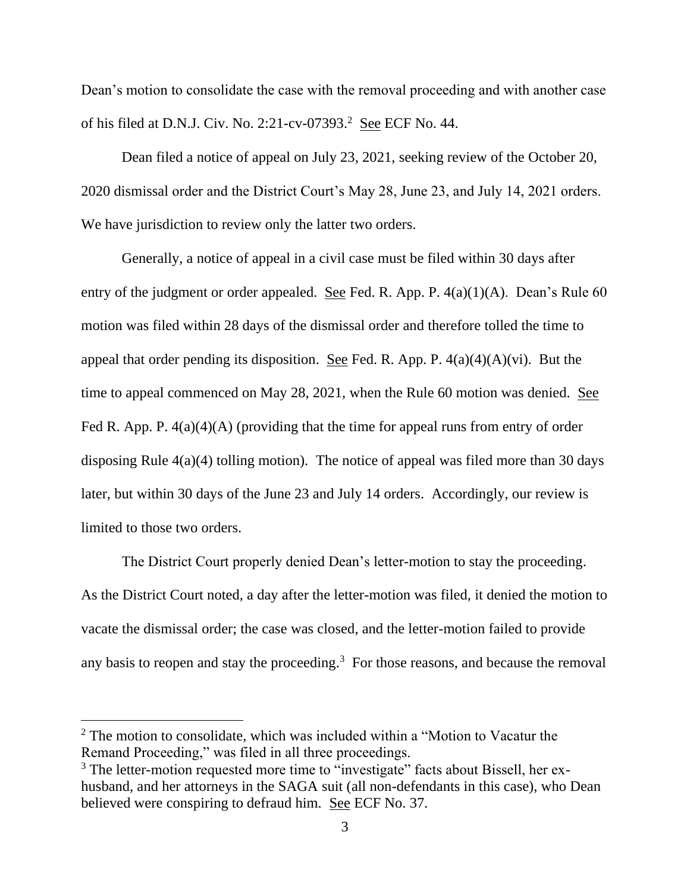Dean's motion to consolidate the case with the removal proceeding and with another case of his filed at D.N.J. Civ. No. 2:21-cv-07393.<sup>2</sup> See ECF No. 44.

Dean filed a notice of appeal on July 23, 2021, seeking review of the October 20, 2020 dismissal order and the District Court's May 28, June 23, and July 14, 2021 orders. We have jurisdiction to review only the latter two orders.

Generally, a notice of appeal in a civil case must be filed within 30 days after entry of the judgment or order appealed. See Fed. R. App. P. 4(a)(1)(A). Dean's Rule 60 motion was filed within 28 days of the dismissal order and therefore tolled the time to appeal that order pending its disposition. See Fed. R. App. P.  $4(a)(4)(A)(vi)$ . But the time to appeal commenced on May 28, 2021, when the Rule 60 motion was denied. See Fed R. App. P.  $4(a)(4)(A)$  (providing that the time for appeal runs from entry of order disposing Rule 4(a)(4) tolling motion). The notice of appeal was filed more than 30 days later, but within 30 days of the June 23 and July 14 orders. Accordingly, our review is limited to those two orders.

The District Court properly denied Dean's letter-motion to stay the proceeding. As the District Court noted, a day after the letter-motion was filed, it denied the motion to vacate the dismissal order; the case was closed, and the letter-motion failed to provide any basis to reopen and stay the proceeding. $3$  For those reasons, and because the removal

 $2$  The motion to consolidate, which was included within a "Motion to Vacatur the Remand Proceeding," was filed in all three proceedings.

<sup>&</sup>lt;sup>3</sup> The letter-motion requested more time to "investigate" facts about Bissell, her exhusband, and her attorneys in the SAGA suit (all non-defendants in this case), who Dean believed were conspiring to defraud him. See ECF No. 37.